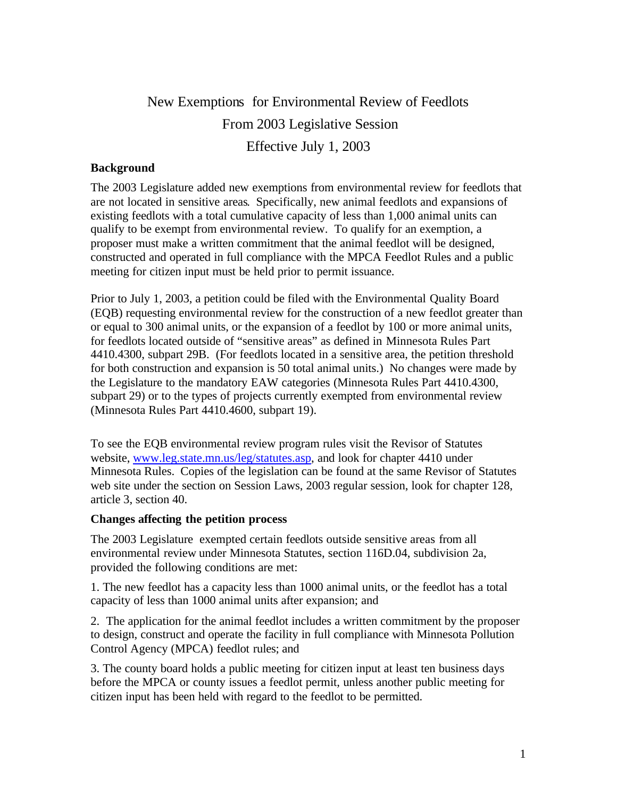# New Exemptions for Environmental Review of Feedlots From 2003 Legislative Session Effective July 1, 2003

#### **Background**

The 2003 Legislature added new exemptions from environmental review for feedlots that are not located in sensitive areas. Specifically, new animal feedlots and expansions of existing feedlots with a total cumulative capacity of less than 1,000 animal units can qualify to be exempt from environmental review. To qualify for an exemption, a proposer must make a written commitment that the animal feedlot will be designed, constructed and operated in full compliance with the MPCA Feedlot Rules and a public meeting for citizen input must be held prior to permit issuance.

Prior to July 1, 2003, a petition could be filed with the Environmental Quality Board (EQB) requesting environmental review for the construction of a new feedlot greater than or equal to 300 animal units, or the expansion of a feedlot by 100 or more animal units, for feedlots located outside of "sensitive areas" as defined in Minnesota Rules Part 4410.4300, subpart 29B. (For feedlots located in a sensitive area, the petition threshold for both construction and expansion is 50 total animal units.) No changes were made by the Legislature to the mandatory EAW categories (Minnesota Rules Part 4410.4300, subpart 29) or to the types of projects currently exempted from environmental review (Minnesota Rules Part 4410.4600, subpart 19).

To see the EQB environmental review program rules visit the Revisor of Statutes website, www.leg.state.mn.us/leg/statutes.asp, and look for chapter 4410 under Minnesota Rules. Copies of the legislation can be found at the same Revisor of Statutes web site under the section on Session Laws, 2003 regular session, look for chapter 128, article 3, section 40.

#### **Changes affecting the petition process**

The 2003 Legislature exempted certain feedlots outside sensitive areas from all environmental review under Minnesota Statutes, section 116D.04, subdivision 2a, provided the following conditions are met:

1. The new feedlot has a capacity less than 1000 animal units, or the feedlot has a total capacity of less than 1000 animal units after expansion; and

2. The application for the animal feedlot includes a written commitment by the proposer to design, construct and operate the facility in full compliance with Minnesota Pollution Control Agency (MPCA) feedlot rules; and

3. The county board holds a public meeting for citizen input at least ten business days before the MPCA or county issues a feedlot permit, unless another public meeting for citizen input has been held with regard to the feedlot to be permitted.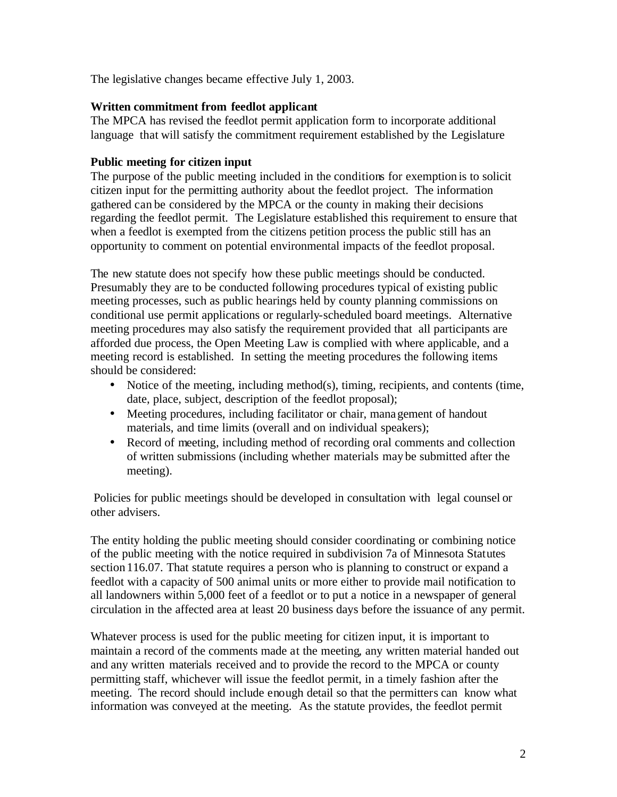The legislative changes became effective July 1, 2003.

## **Written commitment from feedlot applicant**

The MPCA has revised the feedlot permit application form to incorporate additional language that will satisfy the commitment requirement established by the Legislature

### **Public meeting for citizen input**

The purpose of the public meeting included in the conditions for exemption is to solicit citizen input for the permitting authority about the feedlot project. The information gathered can be considered by the MPCA or the county in making their decisions regarding the feedlot permit. The Legislature established this requirement to ensure that when a feedlot is exempted from the citizens petition process the public still has an opportunity to comment on potential environmental impacts of the feedlot proposal.

The new statute does not specify how these public meetings should be conducted. Presumably they are to be conducted following procedures typical of existing public meeting processes, such as public hearings held by county planning commissions on conditional use permit applications or regularly-scheduled board meetings. Alternative meeting procedures may also satisfy the requirement provided that all participants are afforded due process, the Open Meeting Law is complied with where applicable, and a meeting record is established. In setting the meeting procedures the following items should be considered:

- Notice of the meeting, including method(s), timing, recipients, and contents (time, date, place, subject, description of the feedlot proposal);
- Meeting procedures, including facilitator or chair, management of handout materials, and time limits (overall and on individual speakers);
- Record of meeting, including method of recording oral comments and collection of written submissions (including whether materials may be submitted after the meeting).

 Policies for public meetings should be developed in consultation with legal counsel or other advisers.

The entity holding the public meeting should consider coordinating or combining notice of the public meeting with the notice required in subdivision 7a of Minnesota Statutes section 116.07. That statute requires a person who is planning to construct or expand a feedlot with a capacity of 500 animal units or more either to provide mail notification to all landowners within 5,000 feet of a feedlot or to put a notice in a newspaper of general circulation in the affected area at least 20 business days before the issuance of any permit.

Whatever process is used for the public meeting for citizen input, it is important to maintain a record of the comments made at the meeting, any written material handed out and any written materials received and to provide the record to the MPCA or county permitting staff, whichever will issue the feedlot permit, in a timely fashion after the meeting. The record should include enough detail so that the permitters can know what information was conveyed at the meeting. As the statute provides, the feedlot permit